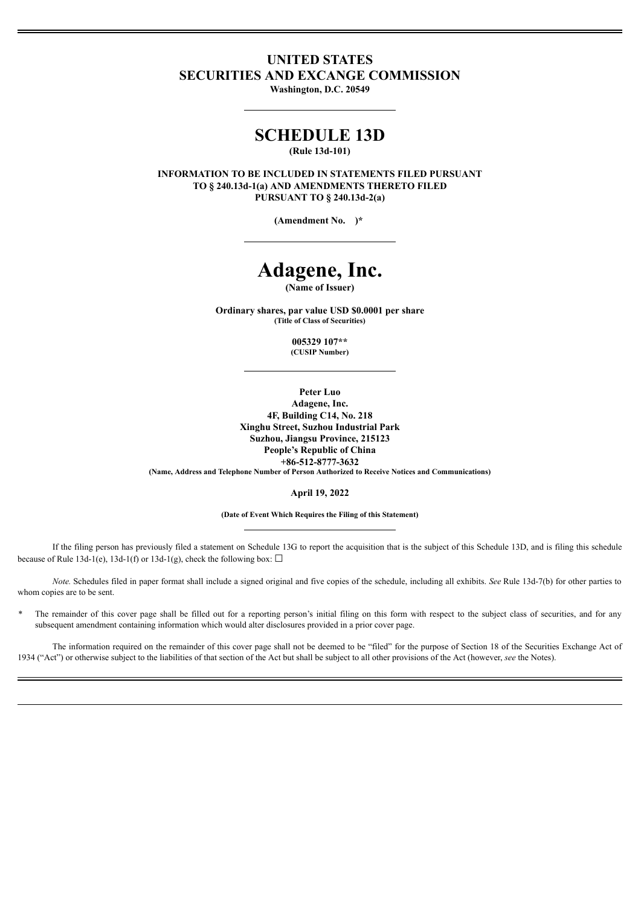# **UNITED STATES SECURITIES AND EXCANGE COMMISSION**

**Washington, D.C. 20549**

# **SCHEDULE 13D**

**(Rule 13d-101)**

**INFORMATION TO BE INCLUDED IN STATEMENTS FILED PURSUANT TO § 240.13d-1(a) AND AMENDMENTS THERETO FILED PURSUANT TO § 240.13d-2(a)**

**(Amendment No. )\***

# **Adagene, Inc.**

**(Name of Issuer)**

**Ordinary shares, par value USD \$0.0001 per share (Title of Class of Securities)**

> **005329 107\*\* (CUSIP Number)**

> > **Peter Luo**

**Adagene, Inc. 4F, Building C14, No. 218 Xinghu Street, Suzhou Industrial Park Suzhou, Jiangsu Province, 215123 People's Republic of China +86-512-8777-3632 (Name, Address and Telephone Number of Person Authorized to Receive Notices and Communications)**

**April 19, 2022**

**(Date of Event Which Requires the Filing of this Statement)**

If the filing person has previously filed a statement on Schedule 13G to report the acquisition that is the subject of this Schedule 13D, and is filing this schedule because of Rule 13d-1(e), 13d-1(f) or 13d-1(g), check the following box:  $\Box$ 

*Note.* Schedules filed in paper format shall include a signed original and five copies of the schedule, including all exhibits. *See* Rule 13d-7(b) for other parties to whom copies are to be sent.

The remainder of this cover page shall be filled out for a reporting person's initial filing on this form with respect to the subject class of securities, and for any subsequent amendment containing information which would alter disclosures provided in a prior cover page.

The information required on the remainder of this cover page shall not be deemed to be "filed" for the purpose of Section 18 of the Securities Exchange Act of 1934 ("Act") or otherwise subject to the liabilities of that section of the Act but shall be subject to all other provisions of the Act (however, *see* the Notes).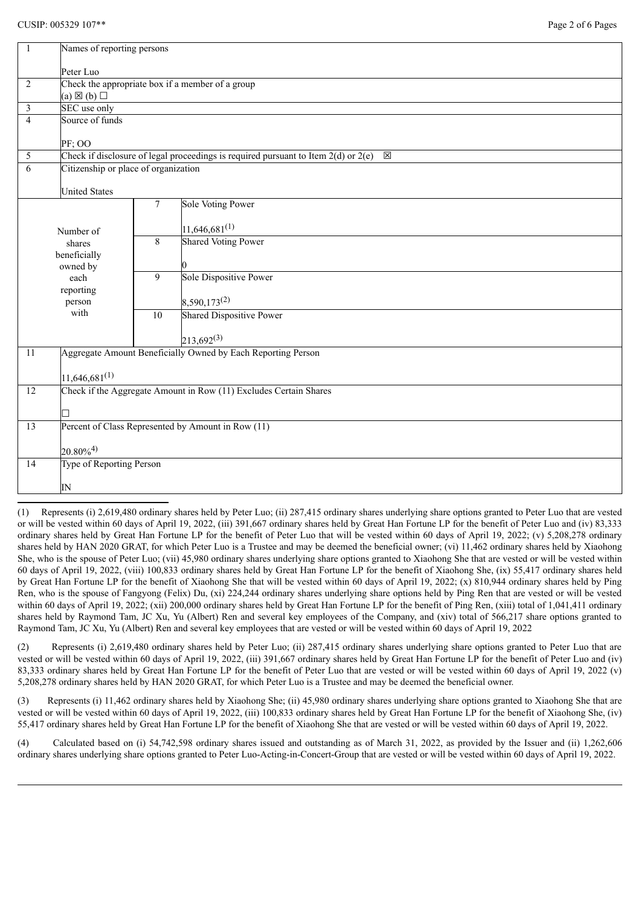| $\mathbf{1}$   | Names of reporting persons                                                                            |                    |                                                    |  |  |
|----------------|-------------------------------------------------------------------------------------------------------|--------------------|----------------------------------------------------|--|--|
|                | Peter Luo                                                                                             |                    |                                                    |  |  |
| $\overline{2}$ | Check the appropriate box if a member of a group                                                      |                    |                                                    |  |  |
| $\mathfrak{Z}$ | $(a) \boxtimes (b) \square$<br>SEC use only                                                           |                    |                                                    |  |  |
| $\overline{4}$ | Source of funds                                                                                       |                    |                                                    |  |  |
|                |                                                                                                       |                    |                                                    |  |  |
|                | PF; OO                                                                                                |                    |                                                    |  |  |
| 5              | Check if disclosure of legal proceedings is required pursuant to Item $2(d)$ or $2(e)$<br>$\boxtimes$ |                    |                                                    |  |  |
| 6              | Citizenship or place of organization                                                                  |                    |                                                    |  |  |
|                | <b>United States</b>                                                                                  |                    |                                                    |  |  |
|                |                                                                                                       | $\tau$             | <b>Sole Voting Power</b>                           |  |  |
|                |                                                                                                       |                    | $11,646,681^{(1)}$                                 |  |  |
| Number of      |                                                                                                       | 8                  | <b>Shared Voting Power</b>                         |  |  |
|                | shares<br>beneficially                                                                                |                    |                                                    |  |  |
| owned by       |                                                                                                       |                    | 0                                                  |  |  |
|                | each                                                                                                  | 9                  | <b>Sole Dispositive Power</b>                      |  |  |
|                | reporting                                                                                             |                    |                                                    |  |  |
|                | person                                                                                                |                    | 8,590,173 <sup>(2)</sup>                           |  |  |
|                | with                                                                                                  | 10                 | <b>Shared Dispositive Power</b>                    |  |  |
|                |                                                                                                       |                    | $213,692^{(3)}$                                    |  |  |
| 11             | Aggregate Amount Beneficially Owned by Each Reporting Person                                          |                    |                                                    |  |  |
|                |                                                                                                       |                    |                                                    |  |  |
|                |                                                                                                       | $11,646,681^{(1)}$ |                                                    |  |  |
| 12             | Check if the Aggregate Amount in Row (11) Excludes Certain Shares                                     |                    |                                                    |  |  |
|                | П                                                                                                     |                    |                                                    |  |  |
| 13             |                                                                                                       |                    | Percent of Class Represented by Amount in Row (11) |  |  |
|                | $20.80\%^{4}$                                                                                         |                    |                                                    |  |  |
| 14             | Type of Reporting Person                                                                              |                    |                                                    |  |  |
|                | $\mathbb{N}$                                                                                          |                    |                                                    |  |  |
|                |                                                                                                       |                    |                                                    |  |  |

(1) Represents (i) 2,619,480 ordinary shares held by Peter Luo; (ii) 287,415 ordinary shares underlying share options granted to Peter Luo that are vested or will be vested within 60 days of April 19, 2022, (iii) 391,667 ordinary shares held by Great Han Fortune LP for the benefit of Peter Luo and (iv) 83,333 ordinary shares held by Great Han Fortune LP for the benefit of Peter Luo that will be vested within 60 days of April 19, 2022; (v) 5,208,278 ordinary shares held by HAN 2020 GRAT, for which Peter Luo is a Trustee and may be deemed the beneficial owner; (vi) 11,462 ordinary shares held by Xiaohong She, who is the spouse of Peter Luo; (vii) 45,980 ordinary shares underlying share options granted to Xiaohong She that are vested or will be vested within 60 days of April 19, 2022, (viii) 100,833 ordinary shares held by Great Han Fortune LP for the benefit of Xiaohong She, (ix) 55,417 ordinary shares held by Great Han Fortune LP for the benefit of Xiaohong She that will be vested within 60 days of April 19, 2022; (x) 810,944 ordinary shares held by Ping Ren, who is the spouse of Fangyong (Felix) Du, (xi) 224,244 ordinary shares underlying share options held by Ping Ren that are vested or will be vested within 60 days of April 19, 2022; (xii) 200,000 ordinary shares held by Great Han Fortune LP for the benefit of Ping Ren, (xiii) total of 1,041,411 ordinary shares held by Raymond Tam, JC Xu, Yu (Albert) Ren and several key employees of the Company, and (xiv) total of 566,217 share options granted to Raymond Tam, JC Xu, Yu (Albert) Ren and several key employees that are vested or will be vested within 60 days of April 19, 2022

(2) Represents (i) 2,619,480 ordinary shares held by Peter Luo; (ii) 287,415 ordinary shares underlying share options granted to Peter Luo that are vested or will be vested within 60 days of April 19, 2022, (iii) 391,667 ordinary shares held by Great Han Fortune LP for the benefit of Peter Luo and (iv) 83,333 ordinary shares held by Great Han Fortune LP for the benefit of Peter Luo that are vested or will be vested within 60 days of April 19, 2022 (v) 5,208,278 ordinary shares held by HAN 2020 GRAT, for which Peter Luo is a Trustee and may be deemed the beneficial owner.

(3) Represents (i) 11,462 ordinary shares held by Xiaohong She; (ii) 45,980 ordinary shares underlying share options granted to Xiaohong She that are vested or will be vested within 60 days of April 19, 2022, (iii) 100,833 ordinary shares held by Great Han Fortune LP for the benefit of Xiaohong She, (iv) 55,417 ordinary shares held by Great Han Fortune LP for the benefit of Xiaohong She that are vested or will be vested within 60 days of April 19, 2022.

(4) Calculated based on (i) 54,742,598 ordinary shares issued and outstanding as of March 31, 2022, as provided by the Issuer and (ii) 1,262,606 ordinary shares underlying share options granted to Peter Luo-Acting-in-Concert-Group that are vested or will be vested within 60 days of April 19, 2022.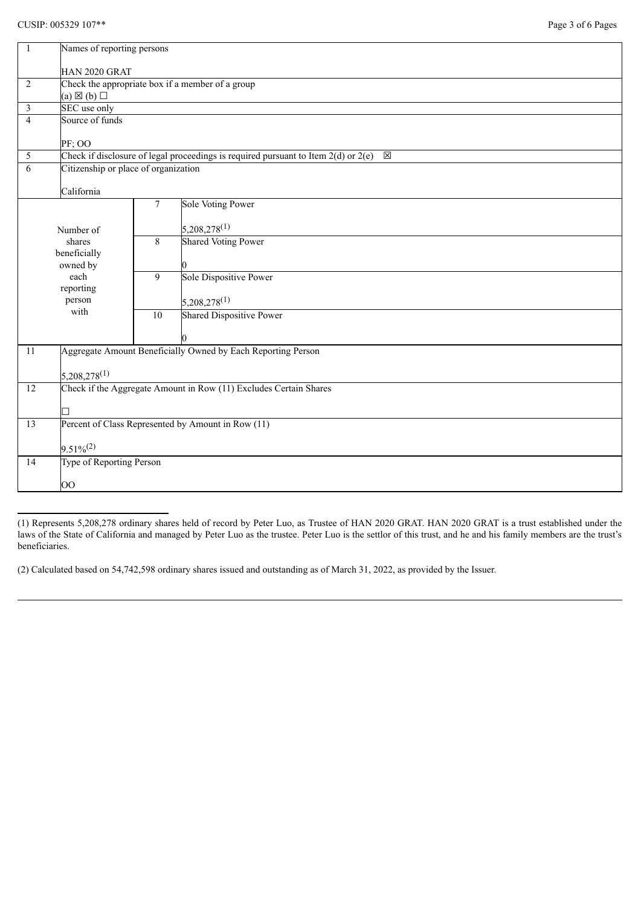| 1                       | Names of reporting persons                                                                  |                          |                            |  |  |  |
|-------------------------|---------------------------------------------------------------------------------------------|--------------------------|----------------------------|--|--|--|
|                         | HAN 2020 GRAT                                                                               |                          |                            |  |  |  |
| $\sqrt{2}$              | Check the appropriate box if a member of a group                                            |                          |                            |  |  |  |
|                         | $(a) \boxtimes (b) \square$                                                                 |                          |                            |  |  |  |
| $\overline{\mathbf{3}}$ | SEC use only                                                                                |                          |                            |  |  |  |
| $\overline{4}$          | Source of funds                                                                             |                          |                            |  |  |  |
|                         | PF; OO                                                                                      |                          |                            |  |  |  |
| 5                       | Check if disclosure of legal proceedings is required pursuant to Item $2(d)$ or $2(e)$<br>区 |                          |                            |  |  |  |
| 6                       | Citizenship or place of organization                                                        |                          |                            |  |  |  |
|                         | California                                                                                  |                          |                            |  |  |  |
|                         |                                                                                             | $\overline{7}$           | Sole Voting Power          |  |  |  |
|                         |                                                                                             |                          |                            |  |  |  |
|                         | Number of                                                                                   |                          | $5,208,278^{(1)}$          |  |  |  |
| shares<br>beneficially  |                                                                                             | 8                        | <b>Shared Voting Power</b> |  |  |  |
|                         |                                                                                             |                          |                            |  |  |  |
|                         | owned by<br>each                                                                            | $\overline{9}$           | Sole Dispositive Power     |  |  |  |
|                         | reporting<br>person                                                                         |                          |                            |  |  |  |
|                         |                                                                                             |                          | $5,208,278^{(1)}$          |  |  |  |
|                         | with                                                                                        | 10                       | Shared Dispositive Power   |  |  |  |
|                         |                                                                                             |                          |                            |  |  |  |
| 11                      | Aggregate Amount Beneficially Owned by Each Reporting Person                                |                          |                            |  |  |  |
|                         |                                                                                             |                          |                            |  |  |  |
|                         | $5,208,278^{(1)}$                                                                           |                          |                            |  |  |  |
| 12                      | Check if the Aggregate Amount in Row (11) Excludes Certain Shares                           |                          |                            |  |  |  |
|                         |                                                                                             |                          |                            |  |  |  |
| $\overline{13}$         |                                                                                             |                          |                            |  |  |  |
|                         | Percent of Class Represented by Amount in Row (11)                                          |                          |                            |  |  |  |
|                         | $9.51\%/2)$                                                                                 |                          |                            |  |  |  |
| $\overline{14}$         |                                                                                             | Type of Reporting Person |                            |  |  |  |
|                         | $\overline{O}O$                                                                             |                          |                            |  |  |  |
|                         |                                                                                             |                          |                            |  |  |  |

(1) Represents 5,208,278 ordinary shares held of record by Peter Luo, as Trustee of HAN 2020 GRAT. HAN 2020 GRAT is a trust established under the laws of the State of California and managed by Peter Luo as the trustee. Peter Luo is the settlor of this trust, and he and his family members are the trust's beneficiaries.

(2) Calculated based on 54,742,598 ordinary shares issued and outstanding as of March 31, 2022, as provided by the Issuer.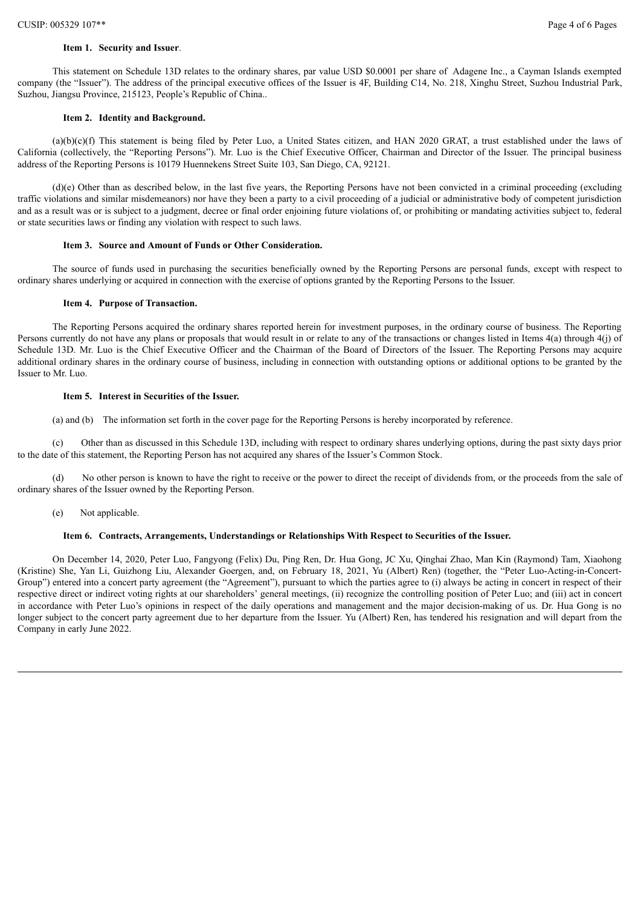#### **Item 1. Security and Issuer**.

This statement on Schedule 13D relates to the ordinary shares, par value USD \$0.0001 per share of Adagene Inc., a Cayman Islands exempted company (the "Issuer"). The address of the principal executive offices of the Issuer is 4F, Building C14, No. 218, Xinghu Street, Suzhou Industrial Park, Suzhou, Jiangsu Province, 215123, People's Republic of China..

## **Item 2. Identity and Background.**

(a)(b)(c)(f) This statement is being filed by Peter Luo, a United States citizen, and HAN 2020 GRAT, a trust established under the laws of California (collectively, the "Reporting Persons"). Mr. Luo is the Chief Executive Officer, Chairman and Director of the Issuer. The principal business address of the Reporting Persons is 10179 Huennekens Street Suite 103, San Diego, CA, 92121.

 $(d)(e)$  Other than as described below, in the last five years, the Reporting Persons have not been convicted in a criminal proceeding (excluding traffic violations and similar misdemeanors) nor have they been a party to a civil proceeding of a judicial or administrative body of competent jurisdiction and as a result was or is subject to a judgment, decree or final order enjoining future violations of, or prohibiting or mandating activities subject to, federal or state securities laws or finding any violation with respect to such laws.

## **Item 3. Source and Amount of Funds or Other Consideration.**

The source of funds used in purchasing the securities beneficially owned by the Reporting Persons are personal funds, except with respect to ordinary shares underlying or acquired in connection with the exercise of options granted by the Reporting Persons to the Issuer.

### **Item 4. Purpose of Transaction.**

The Reporting Persons acquired the ordinary shares reported herein for investment purposes, in the ordinary course of business. The Reporting Persons currently do not have any plans or proposals that would result in or relate to any of the transactions or changes listed in Items 4(a) through 4(j) of Schedule 13D. Mr. Luo is the Chief Executive Officer and the Chairman of the Board of Directors of the Issuer. The Reporting Persons may acquire additional ordinary shares in the ordinary course of business, including in connection with outstanding options or additional options to be granted by the Issuer to Mr. Luo.

# **Item 5. Interest in Securities of the Issuer.**

(a) and (b) The information set forth in the cover page for the Reporting Persons is hereby incorporated by reference.

(c) Other than as discussed in this Schedule 13D, including with respect to ordinary shares underlying options, during the past sixty days prior to the date of this statement, the Reporting Person has not acquired any shares of the Issuer's Common Stock.

(d) No other person is known to have the right to receive or the power to direct the receipt of dividends from, or the proceeds from the sale of ordinary shares of the Issuer owned by the Reporting Person.

(e) Not applicable.

# **Item 6. Contracts, Arrangements, Understandings or Relationships With Respect to Securities of the Issuer.**

On December 14, 2020, Peter Luo, Fangyong (Felix) Du, Ping Ren, Dr. Hua Gong, JC Xu, Qinghai Zhao, Man Kin (Raymond) Tam, Xiaohong (Kristine) She, Yan Li, Guizhong Liu, Alexander Goergen, and, on February 18, 2021, Yu (Albert) Ren) (together, the "Peter Luo-Acting-in-Concert-Group") entered into a concert party agreement (the "Agreement"), pursuant to which the parties agree to (i) always be acting in concert in respect of their respective direct or indirect voting rights at our shareholders' general meetings, (ii) recognize the controlling position of Peter Luo; and (iii) act in concert in accordance with Peter Luo's opinions in respect of the daily operations and management and the major decision-making of us. Dr. Hua Gong is no longer subject to the concert party agreement due to her departure from the Issuer. Yu (Albert) Ren, has tendered his resignation and will depart from the Company in early June 2022.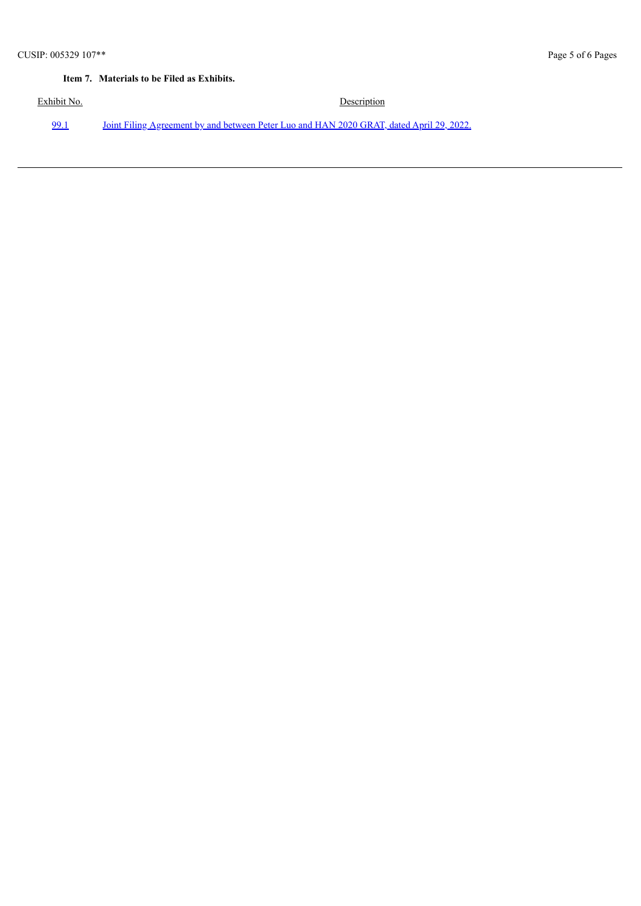# **Item 7. Materials to be Filed as Exhibits.**

Exhibit No. Description [99.1](#page-6-0) Joint Filing [Agreement](#page-6-0) by and between Peter Luo and HAN 2020 GRAT, dated April 29, 2022.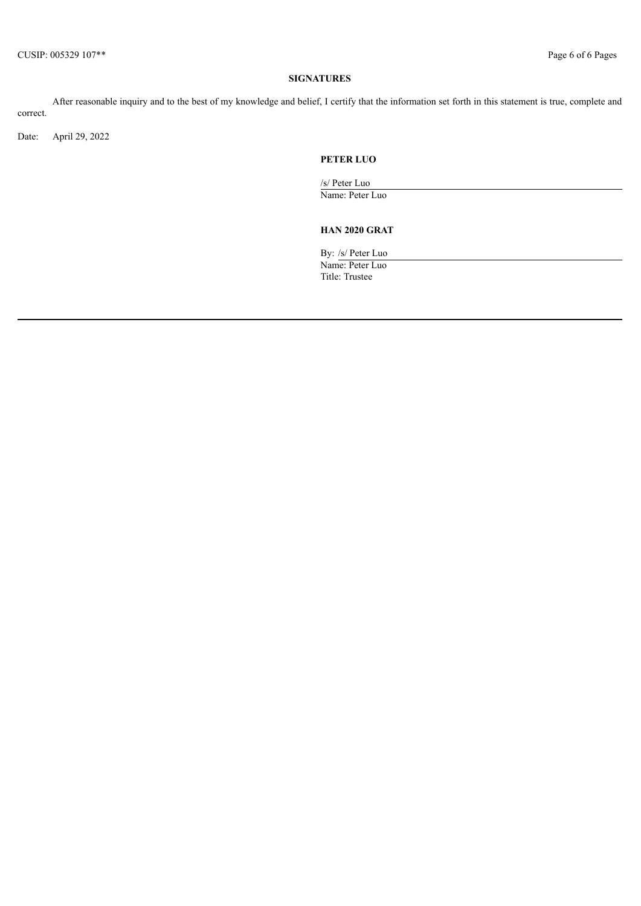# **SIGNATURES**

After reasonable inquiry and to the best of my knowledge and belief, I certify that the information set forth in this statement is true, complete and correct.

Date: April 29, 2022

# **PETER LUO**

/s/ Peter Luo Name: Peter Luo

# **HAN 2020 GRAT**

By: /s/ Peter Luo Name: Peter Luo Title: Trustee